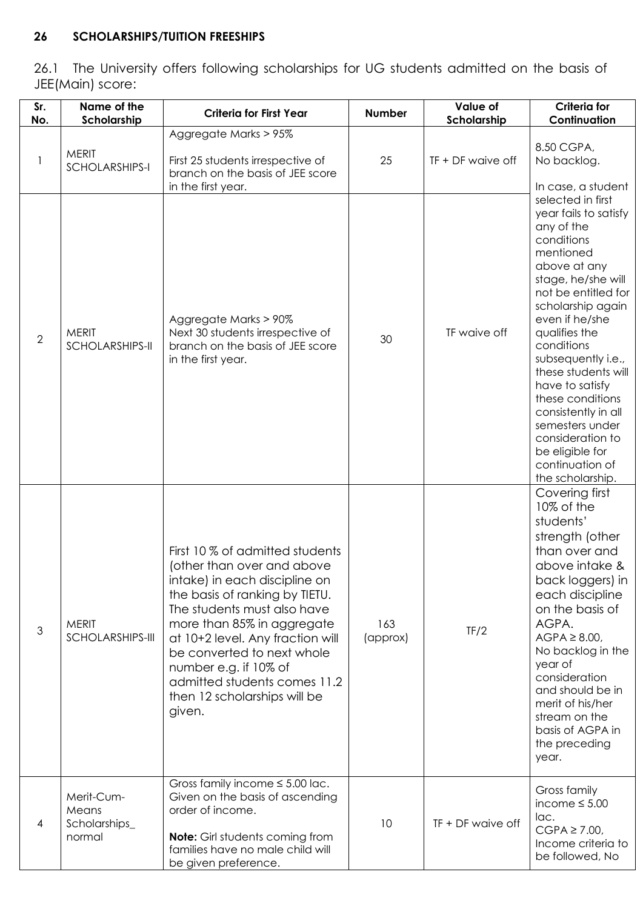# **26 SCHOLARSHIPS/TUITION FREESHIPS**

26.1 The University offers following scholarships for UG students admitted on the basis of JEE(Main) score:

| Sr.<br>No.     | Name of the<br>Scholarship                     | <b>Criteria for First Year</b>                                                                                                                                                                                                                                                                                                                                     | <b>Number</b>   | Value of<br>Scholarship | <b>Criteria for</b><br>Continuation                                                                                                                                                                                                                                                                                                                                                                                                |
|----------------|------------------------------------------------|--------------------------------------------------------------------------------------------------------------------------------------------------------------------------------------------------------------------------------------------------------------------------------------------------------------------------------------------------------------------|-----------------|-------------------------|------------------------------------------------------------------------------------------------------------------------------------------------------------------------------------------------------------------------------------------------------------------------------------------------------------------------------------------------------------------------------------------------------------------------------------|
|                | <b>MERIT</b><br><b>SCHOLARSHIPS-I</b>          | Aggregate Marks > 95%<br>First 25 students irrespective of<br>branch on the basis of JEE score<br>in the first year.                                                                                                                                                                                                                                               | 25              | TF + DF waive off       | 8.50 CGPA,<br>No backlog.<br>In case, a student                                                                                                                                                                                                                                                                                                                                                                                    |
| $\overline{2}$ | <b>MERIT</b><br><b>SCHOLARSHIPS-II</b>         | Aggregate Marks > 90%<br>Next 30 students irrespective of<br>branch on the basis of JEE score<br>in the first year.                                                                                                                                                                                                                                                | 30              | TF waive off            | selected in first<br>year fails to satisfy<br>any of the<br>conditions<br>mentioned<br>above at any<br>stage, he/she will<br>not be entitled for<br>scholarship again<br>even if he/she<br>qualifies the<br>conditions<br>subsequently i.e.,<br>these students will<br>have to satisfy<br>these conditions<br>consistently in all<br>semesters under<br>consideration to<br>be eligible for<br>continuation of<br>the scholarship. |
| $\mathfrak{Z}$ | <b>MERIT</b><br>SCHOLARSHIPS-III               | First 10 % of admitted students<br>(other than over and above<br>intake) in each discipline on<br>the basis of ranking by TIETU.<br>The students must also have<br>more than 85% in aggregate<br>at 10+2 level. Any fraction will<br>be converted to next whole<br>number e.g. if 10% of<br>admitted students comes 11.2<br>then 12 scholarships will be<br>given. | 163<br>(approx) | TF/2                    | Covering first<br>10% of the<br>students'<br>strength (other<br>than over and<br>above intake &<br>back loggers) in<br>each discipline<br>on the basis of<br>AGPA.<br>$AGPA \geq 8.00$ ,<br>No backlog in the<br>year of<br>consideration<br>and should be in<br>merit of his/her<br>stream on the<br>basis of AGPA in<br>the preceding<br>year.                                                                                   |
| 4              | Merit-Cum-<br>Means<br>Scholarships_<br>normal | Gross family income $\leq$ 5.00 lac.<br>Given on the basis of ascending<br>order of income.<br><b>Note:</b> Girl students coming from<br>families have no male child will<br>be given preference.                                                                                                                                                                  | 10              | $TF + DF$ waive off     | Gross family<br>income $\leq 5.00$<br>lac.<br>$CGPA \ge 7.00$<br>Income criteria to<br>be followed, No                                                                                                                                                                                                                                                                                                                             |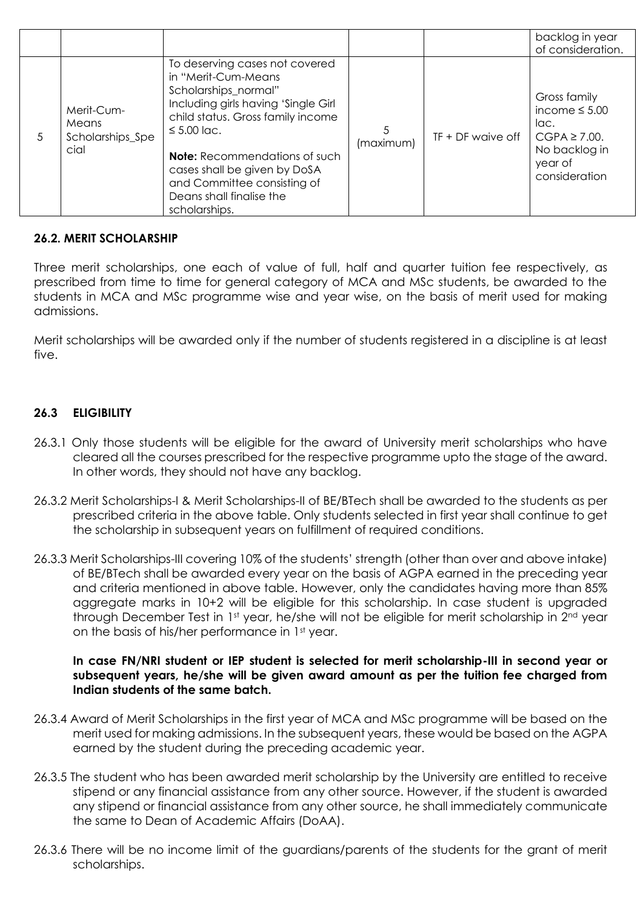|    |                                                 |                                                                                                                                                                                                                                                                                                                                   |                |                     | backlog in year<br>of consideration.                                                                         |
|----|-------------------------------------------------|-----------------------------------------------------------------------------------------------------------------------------------------------------------------------------------------------------------------------------------------------------------------------------------------------------------------------------------|----------------|---------------------|--------------------------------------------------------------------------------------------------------------|
| 5. | Merit-Cum-<br>Means<br>Scholarships_Spe<br>cial | To deserving cases not covered<br>in "Merit-Cum-Means<br>Scholarships_normal"<br>Including girls having 'Single Girl<br>child status. Gross family income<br>$\leq 5.00$ lac.<br><b>Note:</b> Recommendations of such<br>cases shall be given by DoSA<br>and Committee consisting of<br>Deans shall finalise the<br>scholarships. | 5<br>(maximum) | $TF + DF$ waive off | Gross family<br>income $\leq 5.00$<br>lac.<br>$CGPA \ge 7.00$ .<br>No backlog in<br>year of<br>consideration |

# **26.2. MERIT SCHOLARSHIP**

Three merit scholarships, one each of value of full, half and quarter tuition fee respectively, as prescribed from time to time for general category of MCA and MSc students, be awarded to the students in MCA and MSc programme wise and year wise, on the basis of merit used for making admissions.

Merit scholarships will be awarded only if the number of students registered in a discipline is at least five.

# **26.3 ELIGIBILITY**

- 26.3.1 Only those students will be eligible for the award of University merit scholarships who have cleared all the courses prescribed for the respective programme upto the stage of the award. In other words, they should not have any backlog.
- 26.3.2 Merit Scholarships-I & Merit Scholarships-II of BE/BTech shall be awarded to the students as per prescribed criteria in the above table. Only students selected in first year shall continue to get the scholarship in subsequent years on fulfillment of required conditions.
- 26.3.3 Merit Scholarships-III covering 10% of the students' strength (other than over and above intake) of BE/BTech shall be awarded every year on the basis of AGPA earned in the preceding year and criteria mentioned in above table. However, only the candidates having more than 85% aggregate marks in 10+2 will be eligible for this scholarship. In case student is upgraded through December Test in 1st year, he/she will not be eligible for merit scholarship in 2<sup>nd</sup> year on the basis of his/her performance in 1<sup>st</sup> year.

#### **In case FN/NRI student or IEP student is selected for merit scholarship-III in second year or subsequent years, he/she will be given award amount as per the tuition fee charged from Indian students of the same batch.**

- 26.3.4 Award of Merit Scholarships in the first year of MCA and MSc programme will be based on the merit used for making admissions. In the subsequent years, these would be based on the AGPA earned by the student during the preceding academic year.
- 26.3.5 The student who has been awarded merit scholarship by the University are entitled to receive stipend or any financial assistance from any other source. However, if the student is awarded any stipend or financial assistance from any other source, he shall immediately communicate the same to Dean of Academic Affairs (DoAA).
- 26.3.6 There will be no income limit of the guardians/parents of the students for the grant of merit scholarships.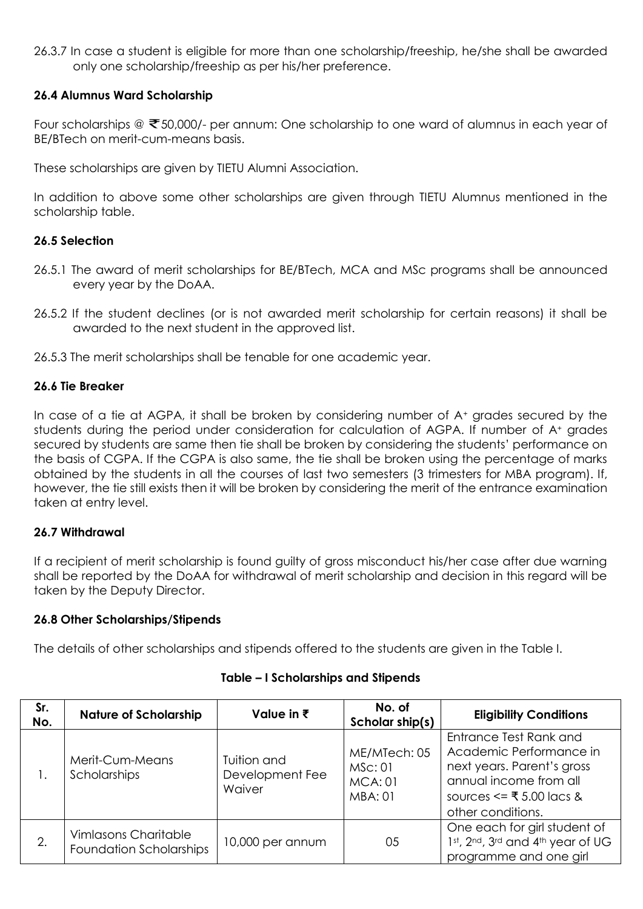26.3.7 In case a student is eligible for more than one scholarship/freeship, he/she shall be awarded only one scholarship/freeship as per his/her preference.

#### **26.4 Alumnus Ward Scholarship**

Four scholarships @  $\bar{\mathfrak{S}}$  50,000/- per annum: One scholarship to one ward of alumnus in each year of BE/BTech on merit-cum-means basis.

These scholarships are given by TIETU Alumni Association.

In addition to above some other scholarships are given through TIETU Alumnus mentioned in the scholarship table.

#### **26.5 Selection**

- 26.5.1 The award of merit scholarships for BE/BTech, MCA and MSc programs shall be announced every year by the DoAA.
- 26.5.2 If the student declines (or is not awarded merit scholarship for certain reasons) it shall be awarded to the next student in the approved list.
- 26.5.3 The merit scholarships shall be tenable for one academic year.

#### **26.6 Tie Breaker**

In case of a tie at AGPA, it shall be broken by considering number of A<sup>+</sup> grades secured by the students during the period under consideration for calculation of AGPA. If number of A<sup>+</sup> grades secured by students are same then tie shall be broken by considering the students' performance on the basis of CGPA. If the CGPA is also same, the tie shall be broken using the percentage of marks obtained by the students in all the courses of last two semesters (3 trimesters for MBA program). If, however, the tie still exists then it will be broken by considering the merit of the entrance examination taken at entry level.

# **26.7 Withdrawal**

If a recipient of merit scholarship is found guilty of gross misconduct his/her case after due warning shall be reported by the DoAA for withdrawal of merit scholarship and decision in this regard will be taken by the Deputy Director.

#### **26.8 Other Scholarships/Stipends**

The details of other scholarships and stipends offered to the students are given in the Table I.

| Sr.<br>No. | <b>Nature of Scholarship</b>                                  | Value in $\bar{\tau}$                    | No. of<br>Scholar ship(s)                                  | <b>Eligibility Conditions</b>                                                                                                                              |
|------------|---------------------------------------------------------------|------------------------------------------|------------------------------------------------------------|------------------------------------------------------------------------------------------------------------------------------------------------------------|
|            | Merit-Cum-Means<br>Scholarships                               | Tuition and<br>Development Fee<br>Waiver | ME/MTech: 05<br>MSC:01<br><b>MCA: 01</b><br><b>MBA: 01</b> | Entrance Test Rank and<br>Academic Performance in<br>next years. Parent's gross<br>annual income from all<br>sources <= ₹ 5.00 lacs &<br>other conditions. |
| 2.         | <b>Vimlasons Charitable</b><br><b>Foundation Scholarships</b> | 10,000 per annum                         | 05                                                         | One each for girl student of<br>1st, 2nd, 3rd and 4th year of UG<br>programme and one girl                                                                 |

#### **Table – I Scholarships and Stipends**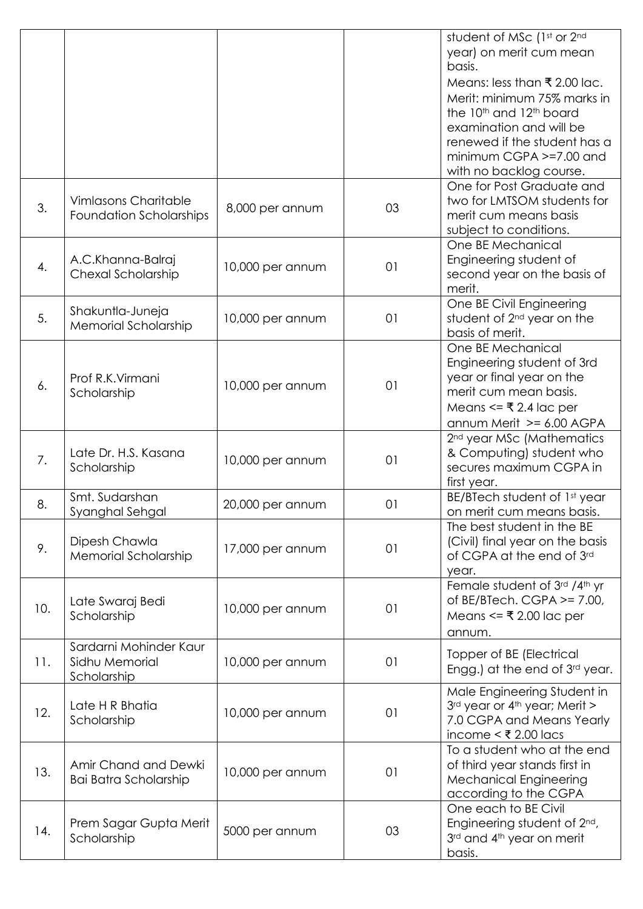|     |                                                               |                  |    | student of MSc (1st or 2nd<br>year) on merit cum mean<br>basis.<br>Means: less than ₹ 2.00 lac.<br>Merit: minimum 75% marks in<br>the 10 <sup>th</sup> and 12 <sup>th</sup> board<br>examination and will be<br>renewed if the student has a<br>$minimum CGPA \geq 7.00$ and |
|-----|---------------------------------------------------------------|------------------|----|------------------------------------------------------------------------------------------------------------------------------------------------------------------------------------------------------------------------------------------------------------------------------|
| 3.  | <b>Vimlasons Charitable</b><br><b>Foundation Scholarships</b> | 8,000 per annum  | 03 | with no backlog course.<br>One for Post Graduate and<br>two for LMTSOM students for<br>merit cum means basis<br>subject to conditions.                                                                                                                                       |
| 4.  | A.C.Khanna-Balraj<br>Chexal Scholarship                       | 10,000 per annum | 01 | One BE Mechanical<br>Engineering student of<br>second year on the basis of<br>merit.                                                                                                                                                                                         |
| 5.  | Shakuntla-Juneja<br>Memorial Scholarship                      | 10,000 per annum | 01 | One BE Civil Engineering<br>student of 2 <sup>nd</sup> year on the<br>basis of merit.                                                                                                                                                                                        |
| 6.  | Prof R.K. Virmani<br>Scholarship                              | 10,000 per annum | 01 | One BE Mechanical<br>Engineering student of 3rd<br>year or final year on the<br>merit cum mean basis.<br>Means <= $\overline{\mathbf{z}}$ 2.4 lac per<br>annum Merit >= 6.00 AGPA                                                                                            |
| 7.  | Late Dr. H.S. Kasana<br>Scholarship                           | 10,000 per annum | 01 | 2 <sup>nd</sup> year MSc (Mathematics<br>& Computing) student who<br>secures maximum CGPA in<br>first year.                                                                                                                                                                  |
| 8.  | Smt. Sudarshan<br>Syanghal Sehgal                             | 20,000 per annum | 01 | BE/BTech student of 1st year<br>on merit cum means basis.                                                                                                                                                                                                                    |
| 9.  | Dipesh Chawla<br><b>Memorial Scholarship</b>                  | 17,000 per annum | 01 | The best student in the BE<br>(Civil) final year on the basis<br>of CGPA at the end of 3rd<br>year.                                                                                                                                                                          |
| 10. | Late Swaraj Bedi<br>Scholarship                               | 10,000 per annum | 01 | Female student of 3rd /4th yr<br>of BE/BTech. CGPA $> = 7.00$ ,<br>Means <= $\overline{\mathbf{z}}$ 2.00 lac per<br>annum.                                                                                                                                                   |
| 11. | Sardarni Mohinder Kaur<br>Sidhu Memorial<br>Scholarship       | 10,000 per annum | 01 | Topper of BE (Electrical<br>Engg.) at the end of 3rd year.                                                                                                                                                                                                                   |
| 12. | Late H R Bhatia<br>Scholarship                                | 10,000 per annum | 01 | Male Engineering Student in<br>3rd year or 4th year; Merit ><br>7.0 CGPA and Means Yearly<br>income < $\overline{\xi}$ 2.00 lacs                                                                                                                                             |
| 13. | Amir Chand and Dewki<br>Bai Batra Scholarship                 | 10,000 per annum | 01 | To a student who at the end<br>of third year stands first in<br><b>Mechanical Engineering</b><br>according to the CGPA                                                                                                                                                       |
| 14. | Prem Sagar Gupta Merit<br>Scholarship                         | 5000 per annum   | 03 | One each to BE Civil<br>Engineering student of 2 <sup>nd</sup> ,<br>3rd and 4th year on merit<br>basis.                                                                                                                                                                      |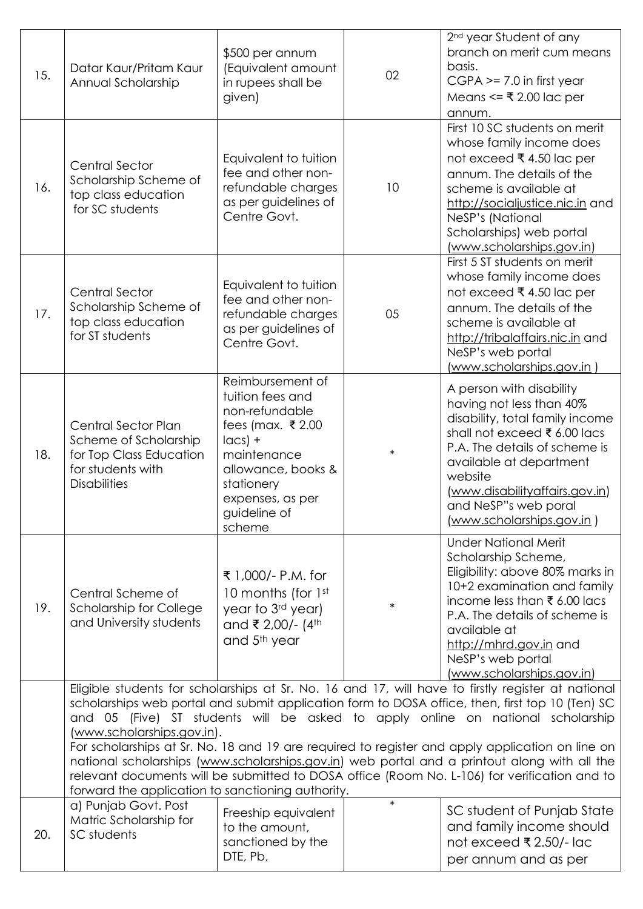| 15. | Datar Kaur/Pritam Kaur<br>Annual Scholarship                                                                                                                                                                                                                                                                                                                                                                                                                                                                                                                                                                                                                                   | \$500 per annum<br>(Equivalent amount<br>in rupees shall be<br>given)                                                                                                                    | 02     | 2 <sup>nd</sup> year Student of any<br>branch on merit cum means<br>basis.<br>$CGPA \ge 7.0$ in first year<br>Means <= ₹ 2.00 lac per<br>annum.                                                                                                                                               |  |  |
|-----|--------------------------------------------------------------------------------------------------------------------------------------------------------------------------------------------------------------------------------------------------------------------------------------------------------------------------------------------------------------------------------------------------------------------------------------------------------------------------------------------------------------------------------------------------------------------------------------------------------------------------------------------------------------------------------|------------------------------------------------------------------------------------------------------------------------------------------------------------------------------------------|--------|-----------------------------------------------------------------------------------------------------------------------------------------------------------------------------------------------------------------------------------------------------------------------------------------------|--|--|
| 16. | <b>Central Sector</b><br>Scholarship Scheme of<br>top class education<br>for SC students                                                                                                                                                                                                                                                                                                                                                                                                                                                                                                                                                                                       | Equivalent to tuition<br>fee and other non-<br>refundable charges<br>as per guidelines of<br>Centre Govt.                                                                                | 10     | First 10 SC students on merit<br>whose family income does<br>not exceed ₹4.50 lac per<br>annum. The details of the<br>scheme is available at<br>http://socialjustice.nic.in and<br>NeSP's (National<br>Scholarships) web portal<br>(www.scholarships.gov.in)                                  |  |  |
| 17. | <b>Central Sector</b><br>Scholarship Scheme of<br>top class education<br>for ST students                                                                                                                                                                                                                                                                                                                                                                                                                                                                                                                                                                                       | Equivalent to tuition<br>fee and other non-<br>refundable charges<br>as per guidelines of<br>Centre Govt.                                                                                | 05     | First 5 ST students on merit<br>whose family income does<br>not exceed ₹ 4.50 lac per<br>annum. The details of the<br>scheme is available at<br>http://tribalaffairs.nic.in and<br>NeSP's web portal<br><u>(www.scholarships.gov.in )</u>                                                     |  |  |
| 18. | <b>Central Sector Plan</b><br>Scheme of Scholarship<br>for Top Class Education<br>for students with<br><b>Disabilities</b>                                                                                                                                                                                                                                                                                                                                                                                                                                                                                                                                                     | Reimbursement of<br>tuition fees and<br>non-refundable<br>fees (max. ₹2.00<br>$ acs $ +<br>maintenance<br>allowance, books &<br>stationery<br>expenses, as per<br>guideline of<br>scheme | $\ast$ | A person with disability<br>having not less than 40%<br>disability, total family income<br>shall not exceed ₹ 6.00 lacs<br>P.A. The details of scheme is<br>available at department<br>website<br>(www.disabilityaffairs.gov.in)<br>and NeSP"s web poral<br><u>(www.scholarships.gov.in )</u> |  |  |
| 19. | Central Scheme of<br><b>Scholarship for College</b><br>and University students                                                                                                                                                                                                                                                                                                                                                                                                                                                                                                                                                                                                 | ₹ 1,000/- P.M. for<br>10 months (for 1st<br>year to 3rd year)<br>and ₹ 2,00/- (4 <sup>th</sup><br>and 5 <sup>th</sup> year                                                               | $\ast$ | <b>Under National Merit</b><br>Scholarship Scheme,<br>Eligibility: above 80% marks in<br>10+2 examination and family<br>income less than ₹ 6.00 lacs<br>P.A. The details of scheme is<br>available at<br>http://mhrd.gov.in and<br>NeSP's web portal<br>(www.scholarships.gov.in)             |  |  |
|     | Eligible students for scholarships at Sr. No. 16 and 17, will have to firstly register at national<br>scholarships web portal and submit application form to DOSA office, then, first top 10 (Ten) SC<br>and 05 (Five) ST students will be asked to apply online on national scholarship<br>(www.scholarships.gov.in).<br>For scholarships at Sr. No. 18 and 19 are required to register and apply application on line on<br>national scholarships (www.scholarships.gov.in) web portal and a printout along with all the<br>relevant documents will be submitted to DOSA office (Room No. L-106) for verification and to<br>forward the application to sanctioning authority. |                                                                                                                                                                                          |        |                                                                                                                                                                                                                                                                                               |  |  |
| 20. | a) Punjab Govt. Post<br>Matric Scholarship for<br>SC students                                                                                                                                                                                                                                                                                                                                                                                                                                                                                                                                                                                                                  | Freeship equivalent<br>to the amount,<br>sanctioned by the<br>DTE, Pb,                                                                                                                   | $\ast$ | SC student of Punjab State<br>and family income should<br>not exceed ₹ 2.50/- lac<br>per annum and as per                                                                                                                                                                                     |  |  |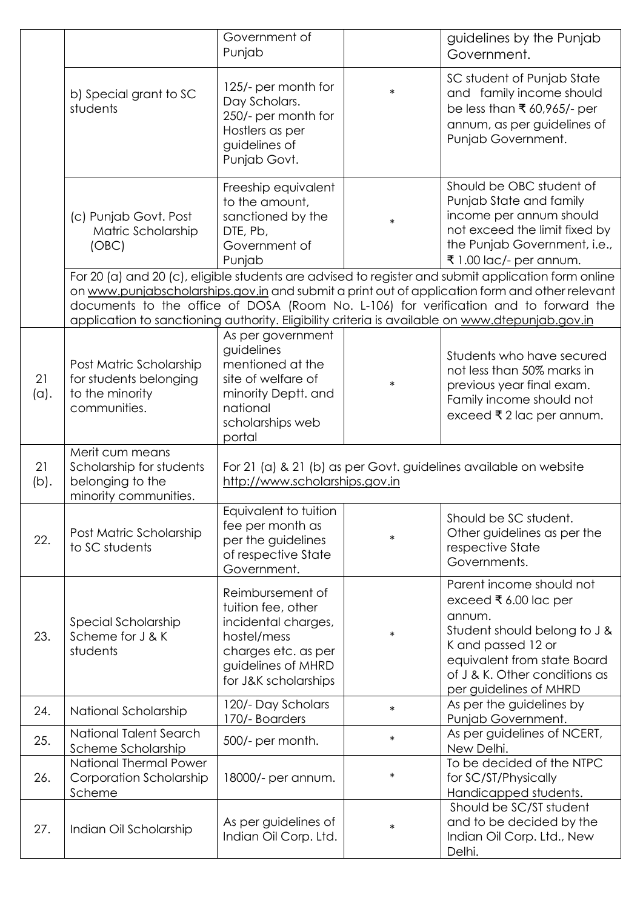|            |                                                                                      | Government of<br>Punjab                                                                                                                           |        | guidelines by the Punjab<br>Government.                                                                                                                                                                                                                                                                                                                                                          |
|------------|--------------------------------------------------------------------------------------|---------------------------------------------------------------------------------------------------------------------------------------------------|--------|--------------------------------------------------------------------------------------------------------------------------------------------------------------------------------------------------------------------------------------------------------------------------------------------------------------------------------------------------------------------------------------------------|
|            | b) Special grant to SC<br>students                                                   | 125/- per month for<br>Day Scholars.<br>250/- per month for<br>Hostlers as per<br>guidelines of<br>Punjab Govt.                                   | $\ast$ | SC student of Punjab State<br>and family income should<br>be less than ₹ 60,965/- per<br>annum, as per guidelines of<br>Punjab Government.                                                                                                                                                                                                                                                       |
|            | (c) Punjab Govt. Post<br>Matric Scholarship<br>(OBC)                                 | Freeship equivalent<br>to the amount,<br>sanctioned by the<br>DTE, Pb,<br>Government of<br>Punjab                                                 | $\ast$ | Should be OBC student of<br>Punjab State and family<br>income per annum should<br>not exceed the limit fixed by<br>the Punjab Government, i.e.,<br>₹1.00 lac/- per annum.                                                                                                                                                                                                                        |
|            |                                                                                      |                                                                                                                                                   |        | For 20 (a) and 20 (c), eligible students are advised to register and submit application form online<br>on www.punjabscholarships.gov.in and submit a print out of application form and other relevant<br>documents to the office of DOSA (Room No. L-106) for verification and to forward the<br>application to sanctioning authority. Eligibility criteria is available on www.dtepunjab.gov.in |
| 21<br>(a). | Post Matric Scholarship<br>for students belonging<br>to the minority<br>communities. | As per government<br>guidelines<br>mentioned at the<br>site of welfare of<br>minority Deptt. and<br>national<br>scholarships web<br>portal        | $\ast$ | Students who have secured<br>not less than 50% marks in<br>previous year final exam.<br>Family income should not<br>exceed ₹ 2 lac per annum.                                                                                                                                                                                                                                                    |
| 21         | Merit cum means<br>Scholarship for students                                          | For 21 (a) & 21 (b) as per Govt. guidelines available on website<br>http://www.scholarships.gov.in                                                |        |                                                                                                                                                                                                                                                                                                                                                                                                  |
| (b).       | belonging to the<br>minority communities.                                            |                                                                                                                                                   |        |                                                                                                                                                                                                                                                                                                                                                                                                  |
| 22.        | Post Matric Scholarship<br>to SC students                                            | Equivalent to tuition<br>fee per month as<br>per the guidelines<br>of respective State<br>Government.                                             | $\ast$ | Should be SC student.<br>Other guidelines as per the<br>respective State<br>Governments.                                                                                                                                                                                                                                                                                                         |
| 23.        | Special Scholarship<br>Scheme for J & K<br>students                                  | Reimbursement of<br>tuition fee, other<br>incidental charges,<br>hostel/mess<br>charges etc. as per<br>guidelines of MHRD<br>for J&K scholarships | $\ast$ | Parent income should not<br>exceed ₹ 6.00 lac per<br>annum.<br>Student should belong to J &<br>K and passed 12 or<br>equivalent from state Board<br>of J & K. Other conditions as<br>per guidelines of MHRD                                                                                                                                                                                      |
| 24.        | National Scholarship                                                                 | 120/- Day Scholars<br>170/- Boarders                                                                                                              | $\ast$ | As per the guidelines by<br>Punjab Government.                                                                                                                                                                                                                                                                                                                                                   |
| 25.        | National Talent Search<br>Scheme Scholarship                                         | 500/- per month.                                                                                                                                  | $\ast$ | As per guidelines of NCERT,<br>New Delhi.                                                                                                                                                                                                                                                                                                                                                        |
| 26.        | <b>National Thermal Power</b><br>Corporation Scholarship<br>Scheme                   | 18000/- per annum.                                                                                                                                | $\ast$ | To be decided of the NTPC<br>for SC/ST/Physically<br>Handicapped students.<br>Should be SC/ST student                                                                                                                                                                                                                                                                                            |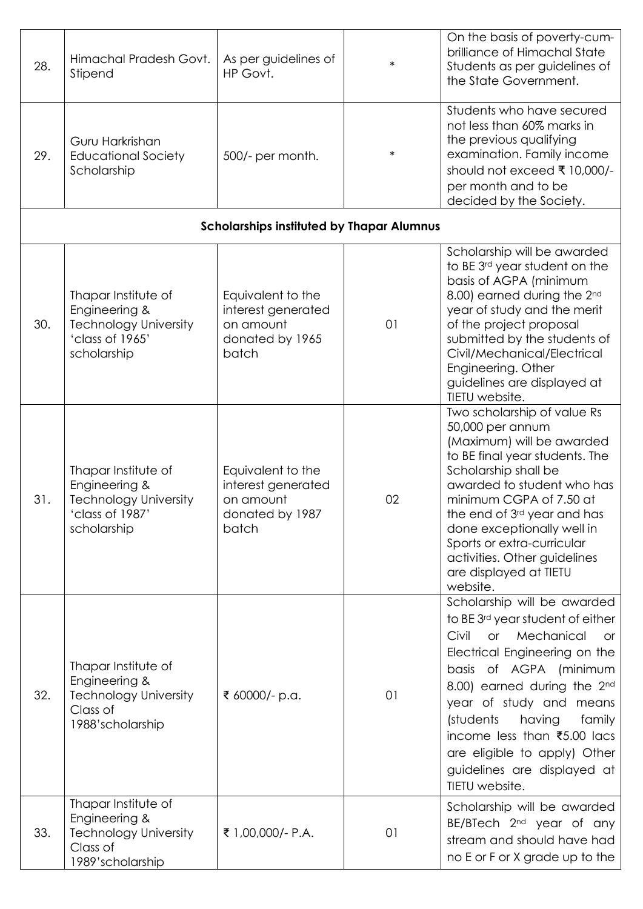| 28. | Himachal Pradesh Govt.<br>Stipend                                                                      | As per guidelines of<br>HP Govt.                                                 | $\ast$ | On the basis of poverty-cum-<br>brilliance of Himachal State<br>Students as per guidelines of<br>the State Government.                                                                                                                                                                                                                                                                      |
|-----|--------------------------------------------------------------------------------------------------------|----------------------------------------------------------------------------------|--------|---------------------------------------------------------------------------------------------------------------------------------------------------------------------------------------------------------------------------------------------------------------------------------------------------------------------------------------------------------------------------------------------|
| 29. | Guru Harkrishan<br><b>Educational Society</b><br>Scholarship                                           | 500/- per month.                                                                 | $\ast$ | Students who have secured<br>not less than 60% marks in<br>the previous qualifying<br>examination. Family income<br>should not exceed ₹ 10,000/-<br>per month and to be                                                                                                                                                                                                                     |
|     |                                                                                                        | <b>Scholarships instituted by Thapar Alumnus</b>                                 |        | decided by the Society.                                                                                                                                                                                                                                                                                                                                                                     |
|     |                                                                                                        |                                                                                  |        |                                                                                                                                                                                                                                                                                                                                                                                             |
| 30. | Thapar Institute of<br>Engineering &<br><b>Technology University</b><br>'class of 1965'<br>scholarship | Equivalent to the<br>interest generated<br>on amount<br>donated by 1965<br>batch | 01     | Scholarship will be awarded<br>to BE 3rd year student on the<br>basis of AGPA (minimum<br>8.00) earned during the 2nd<br>year of study and the merit<br>of the project proposal<br>submitted by the students of<br>Civil/Mechanical/Electrical<br>Engineering. Other<br>guidelines are displayed at<br>TIETU website.                                                                       |
| 31. | Thapar Institute of<br>Engineering &<br><b>Technology University</b><br>'class of 1987'<br>scholarship | Equivalent to the<br>interest generated<br>on amount<br>donated by 1987<br>batch | 02     | Two scholarship of value Rs<br>50,000 per annum<br>(Maximum) will be awarded<br>to BE final year students. The<br>Scholarship shall be<br>awarded to student who has<br>minimum CGPA of 7.50 at<br>the end of 3 <sup>rd</sup> year and has<br>done exceptionally well in<br>Sports or extra-curricular<br>activities. Other guidelines<br>are displayed at TIETU<br>website.                |
| 32. | Thapar Institute of<br>Engineering &<br><b>Technology University</b><br>Class of<br>1988'scholarship   | ₹ 60000/- p.a.                                                                   | 01     | Scholarship will be awarded<br>to BE 3 <sup>rd</sup> year student of either<br>Mechanical<br>Civil<br>or<br><b>or</b><br>Electrical Engineering on the<br>basis of AGPA (minimum<br>8.00) earned during the 2nd<br>year of study and means<br>(students<br>having<br>family<br>income less than ₹5.00 lacs<br>are eligible to apply) Other<br>guidelines are displayed at<br>TIETU website. |
| 33. | Thapar Institute of<br>Engineering &<br><b>Technology University</b><br>Class of<br>1989'scholarship   | ₹ 1,00,000/- P.A.                                                                | 01     | Scholarship will be awarded<br>BE/BTech 2 <sup>nd</sup> year of any<br>stream and should have had<br>no E or F or X grade up to the                                                                                                                                                                                                                                                         |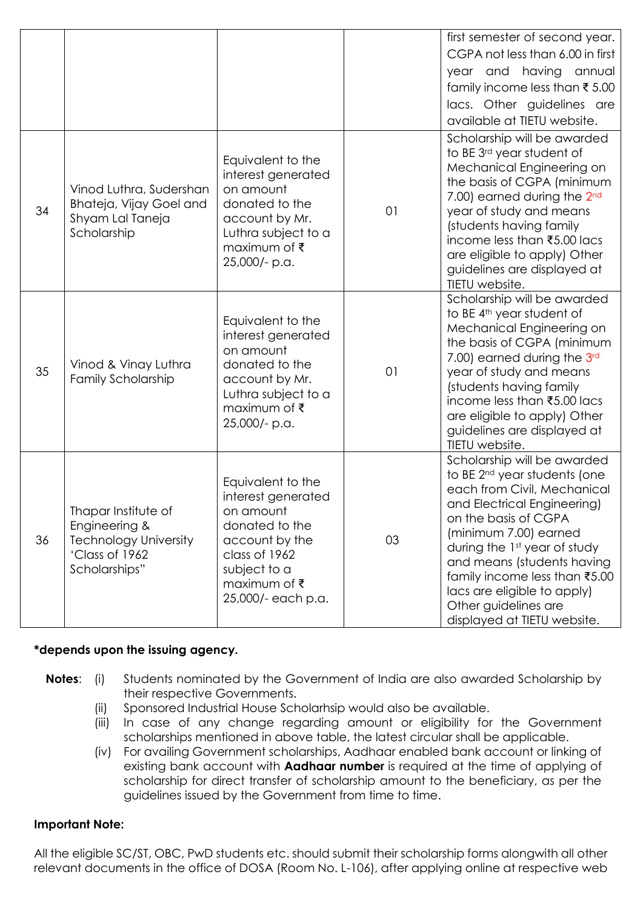|    |                                                                                                         |                                                                                                                                                                 |    | first semester of second year.<br>CGPA not less than 6.00 in first<br>year and having annual<br>family income less than ₹5.00<br>lacs. Other guidelines are<br>available at TIETU website.                                                                                                                                                                                  |
|----|---------------------------------------------------------------------------------------------------------|-----------------------------------------------------------------------------------------------------------------------------------------------------------------|----|-----------------------------------------------------------------------------------------------------------------------------------------------------------------------------------------------------------------------------------------------------------------------------------------------------------------------------------------------------------------------------|
| 34 | Vinod Luthra, Sudershan<br>Bhateja, Vijay Goel and<br>Shyam Lal Taneja<br>Scholarship                   | Equivalent to the<br>interest generated<br>on amount<br>donated to the<br>account by Mr.<br>Luthra subject to a<br>maximum of ₹<br>25,000/- p.a.                | 01 | Scholarship will be awarded<br>to BE 3rd year student of<br>Mechanical Engineering on<br>the basis of CGPA (minimum<br>7.00) earned during the 2 <sup>nd</sup><br>year of study and means<br>(students having family<br>income less than ₹5.00 lacs<br>are eligible to apply) Other<br>guidelines are displayed at<br>TIETU website.                                        |
| 35 | Vinod & Vinay Luthra<br><b>Family Scholarship</b>                                                       | Equivalent to the<br>interest generated<br>on amount<br>donated to the<br>account by Mr.<br>Luthra subject to a<br>maximum of ₹<br>25,000/- p.a.                | 01 | Scholarship will be awarded<br>to BE 4 <sup>th</sup> year student of<br>Mechanical Engineering on<br>the basis of CGPA (minimum<br>7.00) earned during the 3rd<br>year of study and means<br>(students having family<br>income less than ₹5.00 lacs<br>are eligible to apply) Other<br>guidelines are displayed at<br>TIETU website.                                        |
| 36 | Thapar Institute of<br>Engineering &<br><b>Technology University</b><br>'Class of 1962<br>Scholarships" | Equivalent to the<br>interest generated<br>on amount<br>donated to the<br>account by the<br>class of 1962<br>subject to a<br>maximum of ₹<br>25,000/- each p.a. | 03 | Scholarship will be awarded<br>to BE 2 <sup>nd</sup> year students (one<br>each from Civil, Mechanical<br>and Electrical Engineering)<br>on the basis of CGPA<br>(minimum 7.00) earned<br>during the 1st year of study<br>and means (students having<br>family income less than ₹5.00<br>lacs are eligible to apply)<br>Other guidelines are<br>displayed at TIETU website. |

# **\*depends upon the issuing agency.**

- **Notes**: (i) Students nominated by the Government of India are also awarded Scholarship by their respective Governments.
	- (ii) Sponsored Industrial House Scholarhsip would also be available.
	- (iii) In case of any change regarding amount or eligibility for the Government scholarships mentioned in above table, the latest circular shall be applicable.
	- (iv) For availing Government scholarships, Aadhaar enabled bank account or linking of existing bank account with **Aadhaar number** is required at the time of applying of scholarship for direct transfer of scholarship amount to the beneficiary, as per the guidelines issued by the Government from time to time.

#### **Important Note:**

All the eligible SC/ST, OBC, PwD students etc. should submit their scholarship forms alongwith all other relevant documents in the office of DOSA (Room No. L-106), after applying online at respective web